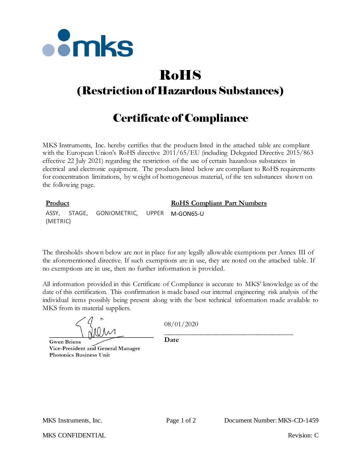

# RoHS

## (Restriction of Hazardous Substances)

## Certificate of Compliance

MKS Instruments, Inc. hereby certifies that the products listed in the attached table are compliant with the European Union's RoHS directive  $2011/65/EU$  (including Delegated Directive 2015/863 effective 22 July 2021) regarding the restriction of the use of certain hazardous substances in electrical and electronic equipment. The products listed below are compliant to RoHS requirements for concentration limitations, by weight of homogeneous material, of the ten substances shown on the following page.

### **Product RoHS Compliant Part Numbers**

ASSY, STAGE, GONIOMETRIC, UPPER M-GON65-U (METRIC)

The thresholds shown below are not in place for any legally allowable exemptions per Annex III of the aforementioned directive. If such exemptions are in use, they are noted on the attached table. If no exemptions are in use, then no further information is provided.

All information provided in this Certificate of Compliance is accurate to MKS' knowledge as of the date of this certification. This confirmation is made based our internal engineering risk analysis of the individual items possibly being present along with the best technical information made available to MKS from its material suppliers.

**Gwen Briens** Vice-President and General Manager **Photonics Business Unit** 

08/01/2020

\_\_\_\_\_\_\_\_\_\_\_\_\_\_\_\_\_\_\_\_\_\_\_\_\_\_\_\_\_\_\_\_\_\_\_\_ **Date**

MKS CONFIDENTIAL THE CONFIDENTIAL Revision: C